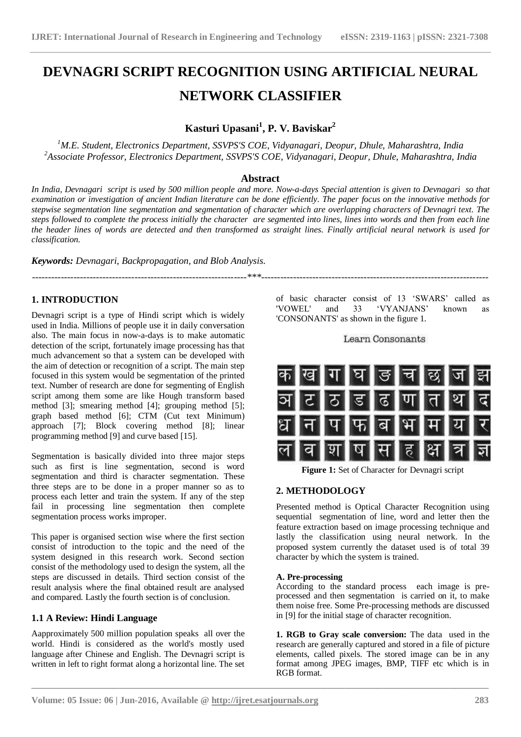# **DEVNAGRI SCRIPT RECOGNITION USING ARTIFICIAL NEURAL NETWORK CLASSIFIER**

# **Kasturi Upasani<sup>1</sup> , P. V. Baviskar<sup>2</sup>**

*<sup>1</sup>M.E. Student, Electronics Department, SSVPS'S COE, Vidyanagari, Deopur, Dhule, Maharashtra, India <sup>2</sup>Associate Professor, Electronics Department, SSVPS'S COE, Vidyanagari, Deopur, Dhule, Maharashtra, India*

# **Abstract**

*In India, Devnagari script is used by 500 million people and more. Now-a-days Special attention is given to Devnagari so that examination or investigation of ancient Indian literature can be done efficiently. The paper focus on the innovative methods for stepwise segmentation line segmentation and segmentation of character which are overlapping characters of Devnagri text. The steps followed to complete the process initially the character are segmented into lines, lines into words and then from each line the header lines of words are detected and then transformed as straight lines. Finally artificial neural network is used for classification.* 

*-------------------------------------------------------------------\*\*\*-----------------------------------------------------------------------*

*Keywords: Devnagari, Backpropagation, and Blob Analysis.*

# **1. INTRODUCTION**

Devnagri script is a type of Hindi script which is widely used in India. Millions of people use it in daily conversation also. The main focus in now-a-days is to make automatic detection of the script, fortunately image processing has that much advancement so that a system can be developed with the aim of detection or recognition of a script. The main step focused in this system would be segmentation of the printed text. Number of research are done for segmenting of English script among them some are like Hough transform based method [3]; smearing method [4]; grouping method [5]; graph based method [6]; CTM (Cut text Minimum) approach [7]; Block covering method [8]; linear programming method [9] and curve based [15].

Segmentation is basically divided into three major steps such as first is line segmentation, second is word segmentation and third is character segmentation. These three steps are to be done in a proper manner so as to process each letter and train the system. If any of the step fail in processing line segmentation then complete segmentation process works improper.

This paper is organised section wise where the first section consist of introduction to the topic and the need of the system designed in this research work. Second section consist of the methodology used to design the system, all the steps are discussed in details. Third section consist of the result analysis where the final obtained result are analysed and compared. Lastly the fourth section is of conclusion.

# **1.1 A Review: Hindi Language**

Aapproximately 500 million population speaks all over the world. Hindi is considered as the world's mostly used language after Chinese and English. The Devnagri script is written in left to right format along a horizontal line. The set

of basic character consist of 13 'SWARS' called as<br>'VOWEL' and 33 'VYANJANS' known as 'VOWEL' and 33 "VYANJANS" known as 'CONSONANTS' as shown in the figure 1.

Learn Consonants



**Figure 1:** Set of Character for Devnagri script

# **2. METHODOLOGY**

Presented method is Optical Character Recognition using sequential segmentation of line, word and letter then the feature extraction based on image processing technique and lastly the classification using neural network. In the proposed system currently the dataset used is of total 39 character by which the system is trained.

## **A. Pre-processing**

**\_\_\_\_\_\_\_\_\_\_\_\_\_\_\_\_\_\_\_\_\_\_\_\_\_\_\_\_\_\_\_\_\_\_\_\_\_\_\_\_\_\_\_\_\_\_\_\_\_\_\_\_\_\_\_\_\_\_\_\_\_\_\_\_\_\_\_\_\_\_\_\_\_\_\_\_\_\_\_\_\_\_\_\_\_\_\_\_\_\_\_\_\_\_\_**

According to the standard process each image is preprocessed and then segmentation is carried on it, to make them noise free. Some Pre-processing methods are discussed in [9] for the initial stage of character recognition.

**1. RGB to Gray scale conversion:** The data used in the research are generally captured and stored in a file of picture elements, called pixels. The stored image can be in any format among JPEG images, BMP, TIFF etc which is in RGB format.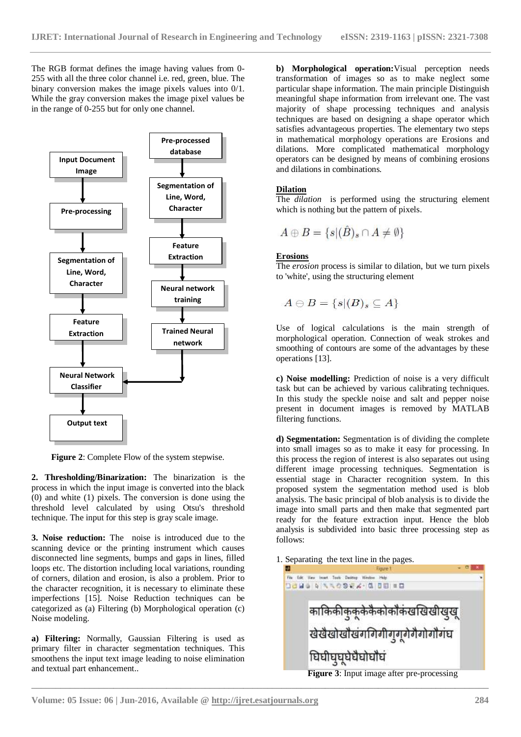The RGB format defines the image having values from 0- 255 with all the three color channel i.e. red, green, blue. The binary conversion makes the image pixels values into 0/1. While the gray conversion makes the image pixel values be in the range of 0-255 but for only one channel.



**Figure 2**: Complete Flow of the system stepwise.

**2. Thresholding/Binarization:** The binarization is the process in which the input image is converted into the black (0) and white (1) pixels. The conversion is done using the threshold level calculated by using Otsu's threshold technique. The input for this step is gray scale image.

**3. Noise reduction:** The noise is introduced due to the scanning device or the printing instrument which causes disconnected line segments, bumps and gaps in lines, filled loops etc. The distortion including local variations, rounding of corners, dilation and erosion, is also a problem. Prior to the character recognition, it is necessary to eliminate these imperfections [15]. Noise Reduction techniques can be categorized as (a) Filtering (b) Morphological operation (c) Noise modeling.

**a) Filtering:** Normally, Gaussian Filtering is used as primary filter in character segmentation techniques. This smoothens the input text image leading to noise elimination and textual part enhancement..

**b) Morphological operation:**Visual perception needs transformation of images so as to make neglect some particular shape information. The main principle Distinguish meaningful shape information from irrelevant one. The vast majority of shape processing techniques and analysis techniques are based on designing a shape operator which satisfies advantageous properties. The elementary two steps in mathematical morphology operations are Erosions and dilations. More complicated mathematical morphology operators can be designed by means of combining erosions and dilations in combinations.

# **Dilation**

The *dilation* is performed using the structuring element which is nothing but the pattern of pixels.

$$
A \oplus B = \{s | (\hat{B})_s \cap A \neq \emptyset\}
$$

# **Erosions**

The *erosion* process is similar to dilation, but we turn pixels to 'white', using the structuring element

$$
A\ominus B=\{s|(B)_s\subseteq A\}
$$

Use of logical calculations is the main strength of morphological operation. Connection of weak strokes and smoothing of contours are some of the advantages by these operations [13].

**c) Noise modelling:** Prediction of noise is a very difficult task but can be achieved by various calibrating techniques. In this study the speckle noise and salt and pepper noise present in document images is removed by MATLAB filtering functions.

**d) Segmentation:** Segmentation is of dividing the complete into small images so as to make it easy for processing. In this process the region of interest is also separates out using different image processing techniques. Segmentation is essential stage in Character recognition system. In this proposed system the segmentation method used is blob analysis. The basic principal of blob analysis is to divide the image into small parts and then make that segmented part ready for the feature extraction input. Hence the blob analysis is subdivided into basic three processing step as follows:

1. Separating the text line in the pages.



**Figure 3**: Input image after pre-processing

**\_\_\_\_\_\_\_\_\_\_\_\_\_\_\_\_\_\_\_\_\_\_\_\_\_\_\_\_\_\_\_\_\_\_\_\_\_\_\_\_\_\_\_\_\_\_\_\_\_\_\_\_\_\_\_\_\_\_\_\_\_\_\_\_\_\_\_\_\_\_\_\_\_\_\_\_\_\_\_\_\_\_\_\_\_\_\_\_\_\_\_\_\_\_\_**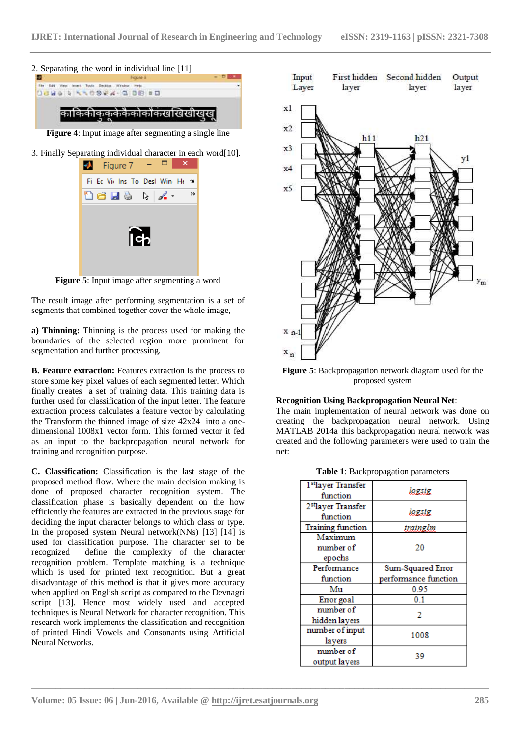



**Figure 5**: Input image after segmenting a word

The result image after performing segmentation is a set of segments that combined together cover the whole image,

**a) Thinning:** Thinning is the process used for making the boundaries of the selected region more prominent for segmentation and further processing.

**B. Feature extraction:** Features extraction is the process to store some key pixel values of each segmented letter. Which finally creates a set of training data. This training data is further used for classification of the input letter. The feature extraction process calculates a feature vector by calculating the Transform the thinned image of size 42x24 into a onedimensional 1008x1 vector form. This formed vector it fed as an input to the backpropagation neural network for training and recognition purpose.

**C. Classification:** Classification is the last stage of the proposed method flow. Where the main decision making is done of proposed character recognition system. The classification phase is basically dependent on the how efficiently the features are extracted in the previous stage for deciding the input character belongs to which class or type. In the proposed system Neural network(NNs) [13] [14] is used for classification purpose. The character set to be recognized define the complexity of the character recognition problem. Template matching is a technique which is used for printed text recognition. But a great disadvantage of this method is that it gives more accuracy when applied on English script as compared to the Devnagri script [13]. Hence most widely used and accepted techniques is Neural Network for character recognition. This research work implements the classification and recognition of printed Hindi Vowels and Consonants using Artificial Neural Networks.



**Figure 5**: Backpropagation network diagram used for the proposed system

#### **Recognition Using Backpropagation Neural Net**:

The main implementation of neural network was done on creating the backpropagation neural network. Using MATLAB 2014a this backpropagation neural network was created and the following parameters were used to train the net:

#### **Table 1**: Backpropagation parameters

| 1 <sup>st</sup> layer Transfer | lagsig               |
|--------------------------------|----------------------|
| function                       |                      |
| 2 <sup>st</sup> layer Transfer |                      |
| function                       | lagsig               |
| <b>Training function</b>       | trainglm             |
| Maximum                        |                      |
| number of                      | 20                   |
| epochs                         |                      |
| Performance                    | Sum-Squared Error    |
|                                |                      |
| function                       | performance function |
| Mu                             | 0.95                 |
| Error goal                     | 0.1                  |
| number of                      |                      |
| hidden layers                  | 2                    |
| number of input                |                      |
| layers                         | 1008                 |
| number of                      | 39                   |

**\_\_\_\_\_\_\_\_\_\_\_\_\_\_\_\_\_\_\_\_\_\_\_\_\_\_\_\_\_\_\_\_\_\_\_\_\_\_\_\_\_\_\_\_\_\_\_\_\_\_\_\_\_\_\_\_\_\_\_\_\_\_\_\_\_\_\_\_\_\_\_\_\_\_\_\_\_\_\_\_\_\_\_\_\_\_\_\_\_\_\_\_\_\_\_**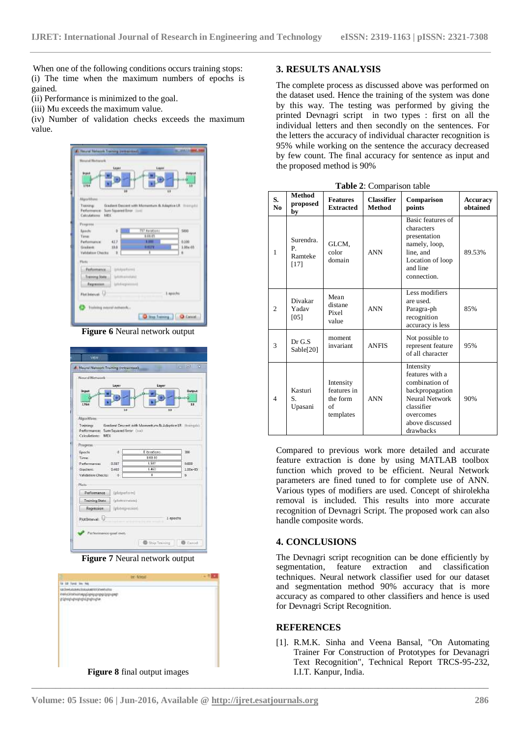When one of the following conditions occurs training stops: (i) The time when the maximum numbers of epochs is gained.

(ii) Performance is minimized to the goal.

(iii) Mu exceeds the maximum value.

(iv) Number of validation checks exceeds the maximum value.

| Gradient Descent with Momentum & Adaptive LK (Increase)<br>Training:<br><b>Herformannel</b><br>Sure Squared Ereon (1991)<br>Calculatorni<br>NEC<br>757 montions<br><b>Eunch:</b><br>$\blacksquare$<br>5000<br>1/11/15<br>Tirrie<br>42.7<br><b>LITH</b><br>0.100<br>Berformance:<br><b>HELFE</b><br>Grasback:<br>115<br>1.00+05<br>x<br>ń<br><b>Validation Checks</b><br>$\sqrt{0}$<br>Patformance<br><b>Uniqueturni</b><br>Trasving State<br><b>Griffinanvelate)</b> | <b>Bound Butwork</b><br>taper<br><b>Injure</b><br><b>THA</b><br><b>IU</b> | Ligan | <b>Hickory</b><br>ū<br>и |
|----------------------------------------------------------------------------------------------------------------------------------------------------------------------------------------------------------------------------------------------------------------------------------------------------------------------------------------------------------------------------------------------------------------------------------------------------------------------|---------------------------------------------------------------------------|-------|--------------------------|
|                                                                                                                                                                                                                                                                                                                                                                                                                                                                      | Akjorithms:                                                               |       |                          |
| <b>Fluits</b>                                                                                                                                                                                                                                                                                                                                                                                                                                                        | Fingrass                                                                  |       |                          |
| (philospeanin/d)<br>Beginnissen<br>1 spochs<br><b>Plut Interval</b> U                                                                                                                                                                                                                                                                                                                                                                                                |                                                                           |       |                          |

**Figure 6** Neural network output

| Neural Network                                                                  |                  |                                                        |          |
|---------------------------------------------------------------------------------|------------------|--------------------------------------------------------|----------|
|                                                                                 | Layer            | Layer                                                  |          |
|                                                                                 |                  |                                                        | Guitarut |
|                                                                                 |                  |                                                        |          |
| 1764                                                                            |                  |                                                        | 13       |
|                                                                                 | iz               | 11                                                     |          |
| Algorithmy                                                                      |                  |                                                        |          |
| Training                                                                        |                  | Gradient Descent with Momentum & Adaptive LR. Houngabi |          |
| Performance: Sum Squared Error (1110)                                           |                  |                                                        |          |
| Calculations: MEC                                                               |                  |                                                        |          |
|                                                                                 |                  |                                                        |          |
|                                                                                 |                  |                                                        |          |
|                                                                                 |                  | Eibristians                                            | 300      |
|                                                                                 |                  | 1:52.80                                                |          |
|                                                                                 | 0.587            | 1.587                                                  | 0.608    |
|                                                                                 | 0.463            | 1.452                                                  | 1.00e-05 |
| Progress:<br>Epoche<br>Time<br>Performance:<br>Gradient<br>Validation Checks: 0 |                  | п                                                      | ń.       |
| Pints:                                                                          |                  |                                                        |          |
|                                                                                 |                  |                                                        |          |
| Performance                                                                     | [interbacture]   |                                                        |          |
| <b>Training State</b>                                                           | (plotogentate)   |                                                        |          |
| Regnession                                                                      | Iplotnepressioni |                                                        |          |
| Plot Intervel:                                                                  |                  | <b>Company Committee</b>                               | 1 apochs |

**Figure 7** Neural network output

| be-Metal                     |  |
|------------------------------|--|
|                              |  |
|                              |  |
| Figure 8 final output images |  |

### **3. RESULTS ANALYSIS**

The complete process as discussed above was performed on the dataset used. Hence the training of the system was done by this way. The testing was performed by giving the printed Devnagri script in two types : first on all the individual letters and then secondly on the sentences. For the letters the accuracy of individual character recognition is 95% while working on the sentence the accuracy decreased by few count. The final accuracy for sentence as input and the proposed method is 90%

| Table 2: Comparison table |  |
|---------------------------|--|
|                           |  |

| S.<br>N <sub>0</sub> | <b>Method</b><br>proposed<br>by    | <b>Features</b><br><b>Extracted</b>                     | <b>Classifier</b><br><b>Method</b> | Comparison<br>points                                                                                                                           | <b>Accuracy</b><br>obtained |
|----------------------|------------------------------------|---------------------------------------------------------|------------------------------------|------------------------------------------------------------------------------------------------------------------------------------------------|-----------------------------|
| 1                    | Surendra.<br>P.<br>Ramteke<br>[17] | GLCM,<br>color<br>domain                                | <b>ANN</b>                         | Basic features of<br>characters<br>presentation<br>namely, loop,<br>line, and<br>Location of loop<br>and line<br>connection.                   | 89.53%                      |
| $\overline{c}$       | Divakar<br>Yadav<br>[05]           | Mean<br>distane<br>Pixel<br>value                       | <b>ANN</b>                         | Less modifiers<br>are used.<br>Paragra-ph<br>recognition<br>accuracy is less                                                                   | 85%                         |
| 3                    | Dr G.S<br>Sable[20]                | moment<br>invariant                                     | <b>ANFIS</b>                       | Not possible to<br>represent feature<br>of all character                                                                                       | 95%                         |
| $\overline{4}$       | Kasturi<br>S.<br>Upasani           | Intensity<br>features in<br>the form<br>of<br>templates | <b>ANN</b>                         | Intensity<br>features with a<br>combination of<br>backpropagation<br>Neural Network<br>classifier<br>overcomes<br>above discussed<br>drawbacks | 90%                         |

Compared to previous work more detailed and accurate feature extraction is done by using MATLAB toolbox function which proved to be efficient. Neural Network parameters are fined tuned to for complete use of ANN. Various types of modifiers are used. Concept of shirolekha removal is included. This results into more accurate recognition of Devnagri Script. The proposed work can also handle composite words.

## **4. CONCLUSIONS**

The Devnagri script recognition can be done efficiently by segmentation, feature extraction and classification techniques. Neural network classifier used for our dataset and segmentation method 90% accuracy that is more accuracy as compared to other classifiers and hence is used for Devnagri Script Recognition.

# **REFERENCES**

**\_\_\_\_\_\_\_\_\_\_\_\_\_\_\_\_\_\_\_\_\_\_\_\_\_\_\_\_\_\_\_\_\_\_\_\_\_\_\_\_\_\_\_\_\_\_\_\_\_\_\_\_\_\_\_\_\_\_\_\_\_\_\_\_\_\_\_\_\_\_\_\_\_\_\_\_\_\_\_\_\_\_\_\_\_\_\_\_\_\_\_\_\_\_\_**

[1]. R.M.K. Sinha and Veena Bansal, "On Automating Trainer For Construction of Prototypes for Devanagri Text Recognition", Technical Report TRCS-95-232, I.I.T. Kanpur, India.